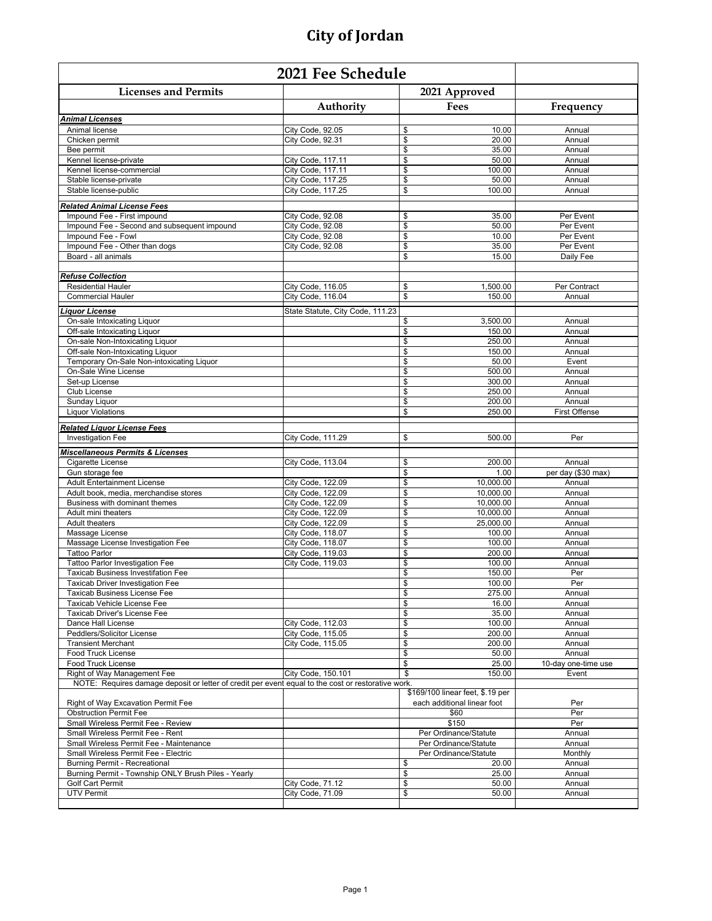| <b>Licenses and Permits</b>                                                                        |                                        | 2021 Approved                              |                        |
|----------------------------------------------------------------------------------------------------|----------------------------------------|--------------------------------------------|------------------------|
|                                                                                                    | Authority                              | Fees                                       | Frequency              |
| <b>Animal Licenses</b>                                                                             |                                        |                                            |                        |
| Animal license                                                                                     | City Code, 92.05                       | \$<br>10.00                                | Annual                 |
| Chicken permit                                                                                     | City Code, 92.31                       | \$<br>20.00                                | Annual                 |
| Bee permit                                                                                         |                                        | \$<br>35.00                                | Annual                 |
| Kennel license-private<br>Kennel license-commercial                                                | City Code, 117.11<br>City Code, 117.11 | \$<br>50.00<br>\$<br>100.00                | Annual<br>Annual       |
| Stable license-private                                                                             | City Code, 117.25                      | $\overline{\mathcal{S}}$<br>50.00          | Annual                 |
| Stable license-public                                                                              | City Code, 117.25                      | $\overline{\mathcal{L}}$<br>100.00         | Annual                 |
|                                                                                                    |                                        |                                            |                        |
| <b>Related Animal License Fees</b>                                                                 |                                        |                                            |                        |
| Impound Fee - First impound                                                                        | City Code, 92.08                       | \$<br>35.00                                | Per Event              |
| Impound Fee - Second and subsequent impound                                                        | City Code, 92.08                       | \$<br>50.00<br>$\overline{\mathcal{S}}$    | Per Event<br>Per Event |
| Impound Fee - Fowl<br>Impound Fee - Other than dogs                                                | City Code, 92.08<br>City Code, 92.08   | 10.00<br>$\overline{\mathcal{S}}$<br>35.00 | Per Event              |
| Board - all animals                                                                                |                                        | \$<br>15.00                                | Daily Fee              |
|                                                                                                    |                                        |                                            |                        |
| <b>Refuse Collection</b>                                                                           |                                        |                                            |                        |
| <b>Residential Hauler</b>                                                                          | City Code, 116.05                      | 1,500.00<br>\$                             | Per Contract           |
| <b>Commercial Hauler</b>                                                                           | City Code, 116.04                      | \$<br>150.00                               | Annual                 |
| iquor License                                                                                      | State Statute, City Code, 111.23       |                                            |                        |
| On-sale Intoxicating Liquor                                                                        |                                        | 3.500.00<br>\$                             | Annual                 |
| Off-sale Intoxicating Liquor                                                                       |                                        | \$<br>150.00                               | Annual                 |
| On-sale Non-Intoxicating Liquor                                                                    |                                        | \$<br>250.00                               | Annual                 |
| Off-sale Non-Intoxicating Liquor                                                                   |                                        | $\frac{1}{2}$<br>150.00                    | Annual                 |
| Temporary On-Sale Non-intoxicating Liquor                                                          |                                        | $\overline{\mathcal{S}}$<br>50.00          | Event                  |
| On-Sale Wine License                                                                               |                                        | \$<br>500.00                               | Annual                 |
| Set-up License                                                                                     |                                        | \$<br>300.00                               | Annual                 |
| Club License                                                                                       |                                        | \$<br>250.00                               | Annual                 |
| Sunday Liquor                                                                                      |                                        | \$<br>200.00                               | Annual                 |
| <b>Liquor Violations</b>                                                                           |                                        | \$<br>250.00                               | <b>First Offense</b>   |
| <b>Related Liquor License Fees</b>                                                                 |                                        |                                            |                        |
| <b>Investigation Fee</b>                                                                           | City Code, 111.29                      | \$<br>500.00                               | Per                    |
|                                                                                                    |                                        |                                            |                        |
| <b>Miscellaneous Permits &amp; Licenses</b><br>Cigarette License                                   | City Code, 113.04                      | \$<br>200.00                               | Annual                 |
| Gun storage fee                                                                                    |                                        | \$<br>1.00                                 | per day (\$30 max)     |
| <b>Adult Entertainment License</b>                                                                 | City Code, 122.09                      | \$<br>10,000.00                            | Annual                 |
| Adult book, media, merchandise stores                                                              | City Code, 122.09                      | $\overline{\mathbb{S}}$<br>10,000.00       | Annual                 |
| Business with dominant themes                                                                      | City Code, 122.09                      | $\boldsymbol{\theta}$<br>10,000.00         | Annual                 |
| Adult mini theaters                                                                                | City Code, 122.09                      | \$<br>10,000.00                            | Annual                 |
| <b>Adult theaters</b>                                                                              | City Code, 122.09                      | \$<br>25,000.00                            | Annual                 |
| Massage License                                                                                    | City Code, 118.07                      | $\frac{1}{2}$<br>100.00                    | Annual                 |
| Massage License Investigation Fee                                                                  | City Code, 118.07                      | \$<br>100.00                               | Annual                 |
| <b>Tattoo Parlor</b>                                                                               | City Code, 119.03                      | $\overline{\mathcal{S}}$<br>200.00         | Annual                 |
| Tattoo Parlor Investigation Fee                                                                    | City Code, 119.03                      | \$<br>100.00                               | Annual                 |
| Taxicab Business Investifation Fee                                                                 |                                        | \$<br>150.00                               | Per                    |
| <b>Taxicab Driver Investigation Fee</b>                                                            |                                        | $\overline{\mathbb{S}}$<br>100.00          | Per                    |
| Taxicab Business License Fee                                                                       |                                        | \$<br>275.00                               | Annual                 |
| Taxicab Vehicle License Fee                                                                        |                                        | \$<br>16.00                                | Annual                 |
| Taxicab Driver's License Fee<br>Dance Hall License                                                 | City Code, 112.03                      | \$<br>35.00<br>\$<br>100.00                | Annual<br>Annual       |
| Peddlers/Solicitor License                                                                         | City Code, 115.05                      | \$<br>200.00                               | Annual                 |
| <b>Transient Merchant</b>                                                                          | City Code, 115.05                      | \$<br>200.00                               | Annual                 |
| <b>Food Truck License</b>                                                                          |                                        | \$<br>50.00                                | Annual                 |
| <b>Food Truck License</b>                                                                          |                                        | \$<br>25.00                                | 10-day one-time use    |
| Right of Way Management Fee                                                                        | City Code, 150.101                     | \$<br>150.00                               | Event                  |
| NOTE: Requires damage deposit or letter of credit per event equal to the cost or restorative work. |                                        |                                            |                        |
|                                                                                                    |                                        | \$169/100 linear feet, \$.19 per           |                        |
| Right of Way Excavation Permit Fee                                                                 |                                        | each additional linear foot                | Per                    |
| <b>Obstruction Permit Fee</b>                                                                      |                                        | \$60                                       | Per                    |
| Small Wireless Permit Fee - Review                                                                 |                                        | \$150                                      | Per                    |
| Small Wireless Permit Fee - Rent                                                                   |                                        | Per Ordinance/Statute                      | Annual                 |
| Small Wireless Permit Fee - Maintenance                                                            |                                        | Per Ordinance/Statute                      | Annual                 |
| Small Wireless Permit Fee - Electric                                                               |                                        | Per Ordinance/Statute                      | Monthly                |
| Burning Permit - Recreational<br>Burning Permit - Township ONLY Brush Piles - Yearly               |                                        | \$<br>20.00<br>\$<br>25.00                 | Annual<br>Annual       |
| <b>Golf Cart Permit</b>                                                                            | City Code, 71.12                       | \$<br>50.00                                | Annual                 |
| <b>UTV Permit</b>                                                                                  | City Code, 71.09                       | \$<br>50.00                                | Annual                 |
|                                                                                                    |                                        |                                            |                        |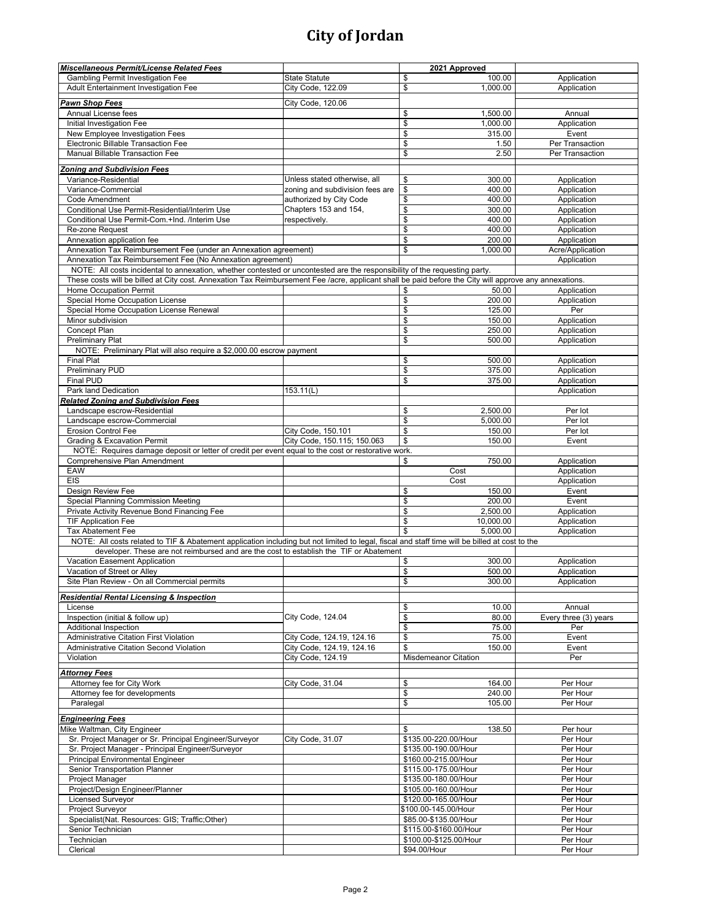| Miscellaneous Permit/License Related Fees                                                                                                              |                                 | 2021 Approved               |                       |
|--------------------------------------------------------------------------------------------------------------------------------------------------------|---------------------------------|-----------------------------|-----------------------|
| <b>Gambling Permit Investigation Fee</b>                                                                                                               | <b>State Statute</b>            | \$<br>100.00                | Application           |
| Adult Entertainment Investigation Fee                                                                                                                  | City Code, 122.09               | \$<br>1,000.00              | Application           |
|                                                                                                                                                        |                                 |                             |                       |
| <b>Pawn Shop Fees</b>                                                                                                                                  | City Code, 120.06               |                             |                       |
| Annual License fees                                                                                                                                    |                                 | \$<br>1,500.00              | Annual                |
| Initial Investigation Fee                                                                                                                              |                                 | \$<br>1,000.00              | Application           |
| New Employee Investigation Fees                                                                                                                        |                                 | \$<br>315.00                | Event                 |
| Electronic Billable Transaction Fee                                                                                                                    |                                 | \$<br>1.50                  | Per Transaction       |
| Manual Billable Transaction Fee                                                                                                                        |                                 | \$<br>2.50                  | Per Transaction       |
|                                                                                                                                                        |                                 |                             |                       |
| <b>Zoning and Subdivision Fees</b>                                                                                                                     |                                 |                             |                       |
| Variance-Residential                                                                                                                                   | Unless stated otherwise, all    | 300.00<br>\$                | Application           |
| Variance-Commercial                                                                                                                                    | zoning and subdivision fees are | $\frac{1}{2}$<br>400.00     | Application           |
| Code Amendment                                                                                                                                         | authorized by City Code         | \$<br>400.00                | Application           |
| Conditional Use Permit-Residential/Interim Use                                                                                                         | Chapters 153 and 154,           | \$<br>300.00                | Application           |
| Conditional Use Permit-Com.+Ind. /Interim Use                                                                                                          | respectively.                   | \$<br>400.00                | Application           |
| Re-zone Request                                                                                                                                        |                                 | \$<br>400.00                | Application           |
| Annexation application fee                                                                                                                             |                                 | \$<br>200.00                | Application           |
| Annexation Tax Reimbursement Fee (under an Annexation agreement)                                                                                       |                                 | \$<br>1,000.00              | Acre/Application      |
| Annexation Tax Reimbursement Fee (No Annexation agreement)                                                                                             |                                 |                             | Application           |
| NOTE: All costs incidental to annexation, whether contested or uncontested are the responsibility of the requesting party.                             |                                 |                             |                       |
| These costs will be billed at City cost. Annexation Tax Reimbursement Fee /acre, applicant shall be paid before the City will approve any annexations. |                                 |                             |                       |
| Home Occupation Permit                                                                                                                                 |                                 | 50.00<br>\$                 | Application           |
| Special Home Occupation License                                                                                                                        |                                 | \$<br>200.00                | Application           |
| Special Home Occupation License Renewal                                                                                                                |                                 | \$<br>125.00                | Per                   |
| Minor subdivision                                                                                                                                      |                                 | \$<br>150.00                | Application           |
| Concept Plan                                                                                                                                           |                                 | \$<br>250.00                | Application           |
| <b>Preliminary Plat</b>                                                                                                                                |                                 | \$<br>500.00                | Application           |
| NOTE: Preliminary Plat will also require a \$2,000.00 escrow payment                                                                                   |                                 |                             |                       |
| <b>Final Plat</b>                                                                                                                                      |                                 | \$<br>500.00                | Application           |
| Preliminary PUD                                                                                                                                        |                                 | \$<br>375.00                | Application           |
| <b>Final PUD</b>                                                                                                                                       |                                 | \$<br>375.00                | Application           |
| Park land Dedication                                                                                                                                   | 153.11(L)                       |                             | Application           |
| <b>Related Zoning and Subdivision Fees</b>                                                                                                             |                                 |                             |                       |
|                                                                                                                                                        |                                 |                             |                       |
| Landscape escrow-Residential                                                                                                                           |                                 | \$<br>2,500.00              | Per lot               |
| Landscape escrow-Commercial                                                                                                                            |                                 | \$<br>5,000.00              | Per lot               |
| <b>Erosion Control Fee</b>                                                                                                                             | City Code, 150.101              | \$<br>150.00                | Per lot               |
| <b>Grading &amp; Excavation Permit</b>                                                                                                                 | City Code, 150.115; 150.063     | \$<br>150.00                | Event                 |
| NOTE: Requires damage deposit or letter of credit per event equal to the cost or restorative work.                                                     |                                 |                             |                       |
| <b>Comprehensive Plan Amendment</b>                                                                                                                    |                                 | 750.00<br>\$                | Application           |
| EAW                                                                                                                                                    |                                 | Cost                        | Application           |
| EIS                                                                                                                                                    |                                 | Cost                        | Application           |
| Design Review Fee                                                                                                                                      |                                 | \$<br>150.00                | Event                 |
| Special Planning Commission Meeting                                                                                                                    |                                 | \$<br>200.00                | Event                 |
| Private Activity Revenue Bond Financing Fee                                                                                                            |                                 | \$<br>2,500.00              | Application           |
| <b>TIF Application Fee</b>                                                                                                                             |                                 | \$<br>10,000.00             | Application           |
| Tax Abatement Fee                                                                                                                                      |                                 | \$<br>5,000.00              | Application           |
| NOTE: All costs related to TIF & Abatement application including but not limited to legal, fiscal and staff time will be billed at cost to the         |                                 |                             |                       |
| developer. These are not reimbursed and are the cost to establish the TIF or Abatement                                                                 |                                 |                             |                       |
| Vacation Easement Application                                                                                                                          |                                 | 300.00<br>\$                | Application           |
| Vacation of Street or Alley                                                                                                                            |                                 | \$<br>500.00                | Application           |
| Site Plan Review - On all Commercial permits                                                                                                           |                                 | \$<br>300.00                | Application           |
|                                                                                                                                                        |                                 |                             |                       |
| <b>Residential Rental Licensing &amp; Inspection</b>                                                                                                   |                                 |                             |                       |
| License                                                                                                                                                |                                 | \$<br>10.00                 | Annual                |
| Inspection (initial & follow up)                                                                                                                       | City Code, 124.04               | \$<br>80.00                 | Every three (3) years |
| <b>Additional Inspection</b>                                                                                                                           |                                 | \$<br>75.00                 | Per                   |
| Administrative Citation First Violation                                                                                                                | City Code, 124.19, 124.16       | \$<br>75.00                 | Event                 |
| Administrative Citation Second Violation                                                                                                               | City Code, 124.19, 124.16       | \$<br>150.00                | Event                 |
| Violation                                                                                                                                              | City Code, 124.19               | <b>Misdemeanor Citation</b> | Per                   |
| <b>Attorney Fees</b>                                                                                                                                   |                                 |                             |                       |
| Attorney fee for City Work                                                                                                                             | City Code, 31.04                | 164.00                      | Per Hour              |
| Attorney fee for developments                                                                                                                          |                                 | \$<br>\$<br>240.00          | Per Hour              |
|                                                                                                                                                        |                                 |                             |                       |
| Paralegal                                                                                                                                              |                                 | \$<br>105.00                | Per Hour              |
| <b>Engineering Fees</b>                                                                                                                                |                                 |                             |                       |
| Mike Waltman, City Engineer                                                                                                                            |                                 | 138.50<br>\$                | Per hour              |
| Sr. Project Manager or Sr. Principal Engineer/Surveyor                                                                                                 | City Code, 31.07                | \$135.00-220.00/Hour        | Per Hour              |
| Sr. Project Manager - Principal Engineer/Surveyor                                                                                                      |                                 | \$135.00-190.00/Hour        | Per Hour              |
| <b>Principal Environmental Engineer</b>                                                                                                                |                                 | \$160.00-215.00/Hour        | Per Hour              |
| Senior Transportation Planner                                                                                                                          |                                 | \$115.00-175.00/Hour        | Per Hour              |
| <b>Project Manager</b>                                                                                                                                 |                                 | \$135.00-180.00/Hour        | Per Hour              |
| Project/Design Engineer/Planner                                                                                                                        |                                 | \$105.00-160.00/Hour        | Per Hour              |
|                                                                                                                                                        |                                 |                             |                       |
| Licensed Surveyor                                                                                                                                      |                                 | \$120.00-165.00/Hour        | Per Hour              |
| Project Surveyor                                                                                                                                       |                                 | \$100.00-145.00/Hour        | Per Hour              |
| Specialist(Nat. Resources: GIS; Traffic;Other)                                                                                                         |                                 | \$85.00-\$135.00/Hour       | Per Hour              |
| Senior Technician                                                                                                                                      |                                 | \$115.00-\$160.00/Hour      | Per Hour              |
| Technician                                                                                                                                             |                                 | \$100.00-\$125.00/Hour      | Per Hour              |
| Clerical                                                                                                                                               |                                 | \$94.00/Hour                | Per Hour              |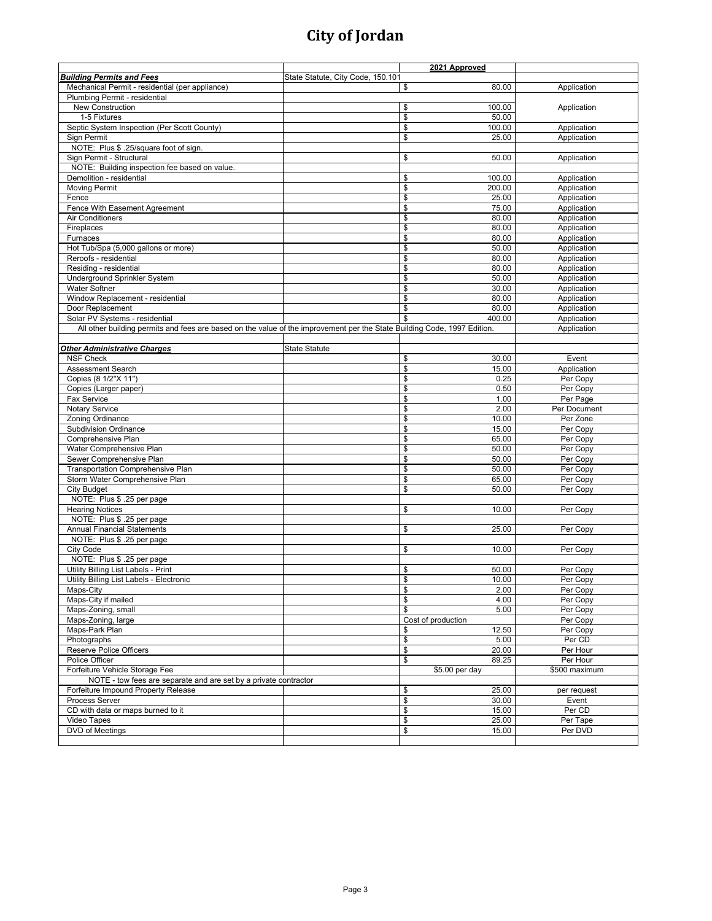|                                                                                                                          |                                   | 2021 Approved                    |               |
|--------------------------------------------------------------------------------------------------------------------------|-----------------------------------|----------------------------------|---------------|
| <b>Building Permits and Fees</b>                                                                                         | State Statute, City Code, 150.101 |                                  |               |
| Mechanical Permit - residential (per appliance)                                                                          |                                   | \$<br>80.00                      | Application   |
| Plumbing Permit - residential                                                                                            |                                   |                                  |               |
| <b>New Construction</b>                                                                                                  |                                   | \$<br>100.00                     | Application   |
| 1-5 Fixtures                                                                                                             |                                   | \$<br>50.00                      |               |
| Septic System Inspection (Per Scott County)                                                                              |                                   | \$<br>100.00                     | Application   |
| Sign Permit                                                                                                              |                                   | \$<br>25.00                      | Application   |
| NOTE: Plus \$ .25/square foot of sign.                                                                                   |                                   |                                  |               |
| Sign Permit - Structural                                                                                                 |                                   | \$<br>50.00                      | Application   |
| NOTE: Building inspection fee based on value.                                                                            |                                   |                                  |               |
| Demolition - residential                                                                                                 |                                   | \$<br>100.00                     | Application   |
| <b>Moving Permit</b>                                                                                                     |                                   | \$<br>200.00                     | Application   |
| Fence                                                                                                                    |                                   | \$<br>25.00                      | Application   |
| Fence With Easement Agreement                                                                                            |                                   | \$<br>75.00                      |               |
| <b>Air Conditioners</b>                                                                                                  |                                   |                                  | Application   |
|                                                                                                                          |                                   | \$<br>80.00                      | Application   |
| Fireplaces                                                                                                               |                                   | $\frac{1}{2}$<br>80.00           | Application   |
| Furnaces                                                                                                                 |                                   | \$<br>80.00                      | Application   |
| Hot Tub/Spa (5,000 gallons or more)                                                                                      |                                   | \$<br>50.00                      | Application   |
| Reroofs - residential                                                                                                    |                                   | $\frac{1}{2}$<br>80.00           | Application   |
| Residing - residential                                                                                                   |                                   | $\frac{1}{2}$<br>80.00           | Application   |
| Underground Sprinkler System                                                                                             |                                   | \$<br>50.00                      | Application   |
| <b>Water Softner</b>                                                                                                     |                                   | \$<br>30.00                      | Application   |
| Window Replacement - residential                                                                                         |                                   | \$<br>80.00                      | Application   |
| Door Replacement                                                                                                         |                                   | \$<br>80.00                      | Application   |
| Solar PV Systems - residential                                                                                           |                                   | \$<br>400.00                     | Application   |
| All other building permits and fees are based on the value of the improvement per the State Building Code, 1997 Edition. |                                   |                                  | Application   |
|                                                                                                                          |                                   |                                  |               |
| <b>Other Administrative Charges</b>                                                                                      | <b>State Statute</b>              |                                  |               |
| <b>NSF Check</b>                                                                                                         |                                   | \$<br>30.00                      | Event         |
| <b>Assessment Search</b>                                                                                                 |                                   | \$<br>15.00                      | Application   |
| Copies (8 1/2"X 11")                                                                                                     |                                   | \$<br>0.25                       | Per Copy      |
| Copies (Larger paper)                                                                                                    |                                   | \$<br>0.50                       | Per Copy      |
| <b>Fax Service</b>                                                                                                       |                                   | \$<br>1.00                       | Per Page      |
| Notary Service                                                                                                           |                                   | \$<br>2.00                       | Per Document  |
| Zoning Ordinance                                                                                                         |                                   | \$<br>10.00                      | Per Zone      |
| <b>Subdivision Ordinance</b>                                                                                             |                                   | \$<br>15.00                      | Per Copy      |
| Comprehensive Plan                                                                                                       |                                   | \$<br>65.00                      | Per Copy      |
| Water Comprehensive Plan                                                                                                 |                                   | \$<br>50.00                      | Per Copy      |
| Sewer Comprehensive Plan                                                                                                 |                                   | \$<br>50.00                      | Per Copy      |
| <b>Transportation Comprehensive Plan</b>                                                                                 |                                   | \$<br>50.00                      |               |
|                                                                                                                          |                                   |                                  | Per Copy      |
| Storm Water Comprehensive Plan                                                                                           |                                   | $\frac{1}{2}$<br>65.00           | Per Copy      |
| City Budget                                                                                                              |                                   | \$<br>50.00                      | Per Copy      |
| NOTE: Plus \$ .25 per page                                                                                               |                                   |                                  |               |
| <b>Hearing Notices</b>                                                                                                   |                                   | \$<br>10.00                      | Per Copy      |
| NOTE: Plus \$ .25 per page                                                                                               |                                   |                                  |               |
| <b>Annual Financial Statements</b>                                                                                       |                                   | \$<br>25.00                      | Per Copy      |
| NOTE: Plus \$ .25 per page                                                                                               |                                   |                                  |               |
| City Code                                                                                                                |                                   | \$<br>10.00                      | Per Copy      |
| NOTE: Plus \$ .25 per page                                                                                               |                                   |                                  |               |
| Utility Billing List Labels - Print                                                                                      |                                   | \$<br>50.00                      | Per Copy      |
| Utility Billing List Labels - Electronic                                                                                 |                                   | \$<br>10.00                      | Per Copy      |
| Maps-City                                                                                                                |                                   | \$<br>2.00                       | Per Copy      |
| Maps-City if mailed                                                                                                      |                                   | \$<br>4.00                       | Per Copy      |
| Maps-Zoning, small                                                                                                       |                                   | \$<br>5.00                       | Per Copy      |
| Maps-Zoning, large                                                                                                       |                                   | Cost of production               | Per Copy      |
| Maps-Park Plan                                                                                                           |                                   | \$<br>12.50                      | Per Copy      |
| Photographs                                                                                                              |                                   | $\overline{\mathcal{S}}$<br>5.00 | Per CD        |
| Reserve Police Officers                                                                                                  |                                   | \$<br>20.00                      | Per Hour      |
| Police Officer                                                                                                           |                                   | \$<br>89.25                      | Per Hour      |
| Forfeiture Vehicle Storage Fee                                                                                           |                                   | \$5.00 per day                   | \$500 maximum |
| NOTE - tow fees are separate and are set by a private contractor                                                         |                                   |                                  |               |
| Forfeiture Impound Property Release                                                                                      |                                   | \$<br>25.00                      | per request   |
| Process Server                                                                                                           |                                   | \$<br>30.00                      | Event         |
| CD with data or maps burned to it                                                                                        |                                   | \$<br>15.00                      | Per CD        |
| Video Tapes                                                                                                              |                                   | \$<br>25.00                      | Per Tape      |
| DVD of Meetings                                                                                                          |                                   | $\mathbf{\hat{s}}$<br>15.00      | Per DVD       |
|                                                                                                                          |                                   |                                  |               |
|                                                                                                                          |                                   |                                  |               |